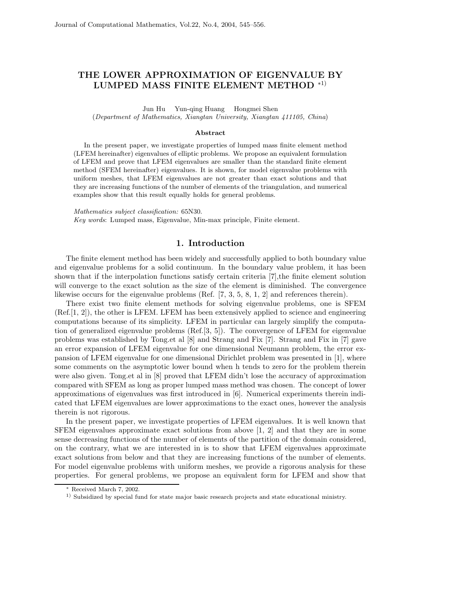## **THE LOWER APPROXIMATION OF EIGENVALUE BY LUMPED MASS FINITE ELEMENT METHOD** <sup>∗</sup>1)

Jun Hu Yun-qing Huang Hongmei Shen

(*Department of Mathematics, Xiangtan University, Xiangtan 411105, China*)

## **Abstract**

In the present paper, we investigate properties of lumped mass finite element method (LFEM hereinafter) eigenvalues of elliptic problems. We propose an equivalent formulation of LFEM and prove that LFEM eigenvalues are smaller than the standard finite element method (SFEM hereinafter) eigenvalues. It is shown, for model eigenvalue problems with uniform meshes, that LFEM eigenvalues are not greater than exact solutions and that they are increasing functions of the number of elements of the triangulation, and numerical examples show that this result equally holds for general problems.

*Mathematics subject classification:* 65N30. *Key words*: Lumped mass, Eigenvalue, Min-max principle, Finite element.

## **1. Introduction**

The finite element method has been widely and successfully applied to both boundary value and eigenvalue problems for a solid continuum. In the boundary value problem, it has been shown that if the interpolation functions satisfy certain criteria [7],the finite element solution will converge to the exact solution as the size of the element is diminished. The convergence likewise occurs for the eigenvalue problems (Ref. [7, 3, 5, 8, 1, 2] and references therein).

There exist two finite element methods for solving eigenvalue problems, one is SFEM (Ref.[1, 2]), the other is LFEM. LFEM has been extensively applied to science and engineering computations because of its simplicity. LFEM in particular can largely simplify the computation of generalized eigenvalue problems (Ref.[3, 5]). The convergence of LFEM for eigenvalue problems was established by Tong.et al [8] and Strang and Fix [7]. Strang and Fix in [7] gave an error expansion of LFEM eigenvalue for one dimensional Neumann problem, the error expansion of LFEM eigenvalue for one dimensional Dirichlet problem was presented in [1], where some comments on the asymptotic lower bound when h tends to zero for the problem therein were also given. Tong.et al in [8] proved that LFEM didn't lose the accuracy of approximation compared with SFEM as long as proper lumped mass method was chosen. The concept of lower approximations of eigenvalues was first introduced in [6]. Numerical experiments therein indicated that LFEM eigenvalues are lower approximations to the exact ones, however the analysis therein is not rigorous.

In the present paper, we investigate properties of LFEM eigenvalues. It is well known that SFEM eigenvalues approximate exact solutions from above [1, 2] and that they are in some sense decreasing functions of the number of elements of the partition of the domain considered, on the contrary, what we are interested in is to show that LFEM eigenvalues approximate exact solutions from below and that they are increasing functions of the number of elements. For model eigenvalue problems with uniform meshes, we provide a rigorous analysis for these properties. For general problems, we propose an equivalent form for LFEM and show that

<sup>∗</sup> Received March 7, 2002.

<sup>&</sup>lt;sup>1)</sup> Subsidized by special fund for state major basic research projects and state educational ministry.